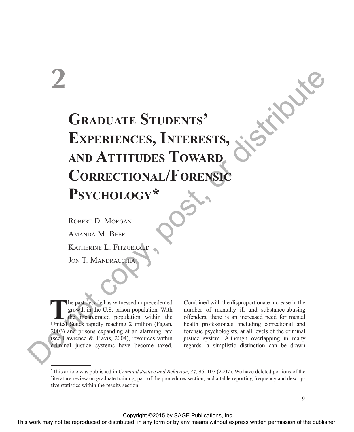# **2**

# **Graduate Students' Experiences, Interests, and Attitudes Toward Correctional/Forensic Psychology\* THE CONSULTE STUDENTS'**<br>  $\blacksquare$ <br>  $\blacksquare$   $\blacksquare$   $\blacksquare$   $\blacksquare$   $\blacksquare$   $\blacksquare$   $\blacksquare$   $\blacksquare$   $\blacksquare$   $\blacksquare$   $\blacksquare$   $\blacksquare$   $\blacksquare$   $\blacksquare$   $\blacksquare$   $\blacksquare$   $\blacksquare$   $\blacksquare$   $\blacksquare$   $\blacksquare$   $\blacksquare$   $\blacksquare$   $\blacksquare$   $\blacksquare$   $\blacksquare$   $\blacksquare$   $\blacksquare$

ROBERT D. MORGAN Amanda M. Beer Katherine L. Fitzgerald JON T. MANDRACCHIA

The past decade has witnessed unprecedented<br>growth in the U.S. prison population. With<br>the incarcerated population within the<br>Hitted States population 2 million (Eggen growth in the U.S. prison population. With the incarcerated population within the United States rapidly reaching 2 million (Fagan, 2003) and prisons expanding at an alarming rate (see Lawrence & Travis, 2004), resources within criminal justice systems have become taxed.

Combined with the disproportionate increase in the number of mentally ill and substance-abusing offenders, there is an increased need for mental health professionals, including correctional and forensic psychologists, at all levels of the criminal justice system. Although overlapping in many regards, a simplistic distinction can be drawn

<sup>\*</sup> This article was published in *Criminal Justice and Behavior*, *34*, 96–107 (2007). We have deleted portions of the literature review on graduate training, part of the procedures section, and a table reporting frequency and descriptive statistics within the results section.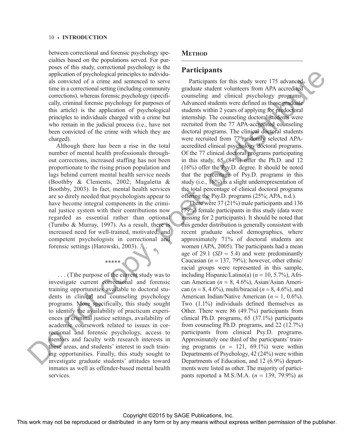#### 10 • **INTRODUCTION**

between correctional and forensic psychology specialties based on the populations served. For purposes of this study, correctional psychology is the application of psychological principles to individuals convicted of a crime and sentenced to serve time in a correctional setting (including community corrections), whereas forensic psychology (specifically, criminal forensic psychology for purposes of this article) is the application of psychological principles to individuals charged with a crime but who remain in the judicial process (i.e., have not been convicted of the crime with which they are charged).

Although there has been a rise in the total number of mental health professionals throughout corrections, increased staffing has not been proportionate to the rising prison population and lags behind current mental health service needs (Boothby & Clements, 2002; Magaletta & Boothby, 2003). In fact, mental health services are so direly needed that psychologists appear to have become integral components in the criminal justice system with their contributions now regarded as essential rather than optional (Turnbo & Murray, 1997). As a result, there is increased need for well-trained, motivated, and competent psychologists in correctional and forensic settings (Harowski, 2003).

. . . (T)he purpose of the current study was to investigate current correctional and forensic training opportunities available to doctoral students in clinical and counseling psychology programs. More specifically, this study sought to identify the availability of practicum experiences in criminal justice settings, availability of academic coursework related to issues in correctional and forensic psychology, access to mentors and faculty with research interests in these areas, and students' interest in such training opportunities. Finally, this study sought to investigate graduate students' attitudes toward inmates as well as offender-based mental health services.

\*\*\*\*\*

#### **METHOD**

#### **Participants**

Participants for this study were 175 advanced graduate student volunteers from APA accredited counseling and clinical psychology programs. Advanced students were defined as those graduate students within 2 years of applying for predoctoral internship. The counseling doctoral students were recruited from the 77 APA-accredited counseling doctoral programs. The clinical doctoral students were recruited from 77 randomly selected APAaccredited clinical psychology doctoral programs. Of the 77 clinical doctoral programs participating in this study, 65 (84%) offer the Ph.D. and 12 (16%) offer the Psy.D. degree. It should be noted that the percentage of Psy.D. programs in this study (i.e., 16%) is a slight underrepresentation of the total percentage of clinical doctoral programs offering the Psy.D. programs (25%; APA, n.d.).

There were 37 (21%) male participants and 136 (79%) female participants in this study (data were missing for 2 participants). It should be noted that this gender distribution is generally consistent with recent graduate school demographics, where approximately 71% of doctoral students are women (APA, 2005). The participants had a mean age of 29.1  $(SD = 5.4)$  and were predominantly Caucasian ( $n = 137, 79\%$ ); however, other ethnic/ racial groups were represented in this sample, including Hispanic/Latino(a)  $(n = 10, 5.7\%)$ , African American (*n* = 8, 4.6%), Asian/Asian American ( $n = 8, 4.6\%$ ), multi/biracial ( $n = 8, 4.6\%$ ), and American Indian/Native American (*n* = 1, 0.6%). Two (1.1%) individuals defined themselves as Other. There were 86 (49.7%) participants from clinical Ph.D. programs, 65 (37.1%) participants from counseling Ph.D. programs, and 22 (12.7%) participants from clinical Psy.D. programs. Approximately one third of the participants' training programs  $(n = 121, 69.1\%)$  were within Departments of Psychology, 42 (24%) were within Departments of Education, and 12 (6.9%) departments were listed as other. The majority of participants reported a M.S./M.A. (*n* = 139, 79.9%) as reproduced to fit in a stributed in the result of the result of the results and the results of the results of the results of the results of the results without express the stributed in a control with a stributed in a cont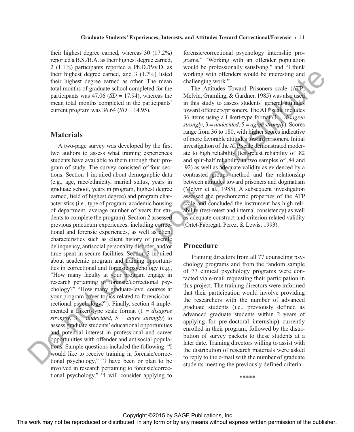their highest degree earned, whereas 30 (17.2%) reported a B.S./B.A. as their highest degree earned, 2 (1.1%) participants reported a Ph.D./Psy.D. as their highest degree earned, and 3 (1.7%) listed their highest degree earned as other. The mean total months of graduate school completed for the participants was  $47.06$  (*SD* = 17.94), whereas the mean total months completed in the participants' current program was 36.64 (*SD* = 14.95).

#### **Materials**

A two-page survey was developed by the first two authors to assess what training experiences students have available to them through their program of study. The survey consisted of four sections. Section 1 inquired about demographic data (e.g., age, race/ethnicity, marital status, years in graduate school, years in program, highest degree earned, field of highest degree) and program characteristics (i.e., type of program, academic housing of department, average number of years for students to complete the program). Section 2 assessed previous practicum experiences, including correctional and forensic experiences, as well as client characteristics such as client history of juvenile delinquency, antisocial personality disorder, and/or time spent in secure facilities. Section 3 inquired about academic program and training opportunities in correctional and forensic psychology (e.g., "How many faculty at your program engage in research pertaining to forensic/correctional psychology?" "How many graduate-level courses at your program cover topics related to forensic/correctional psychology?"). Finally, section 4 implemented a Likert-type scale format (1 = *disagree strongly*, 3 = *undecided*, 5 = *agree strongly*) to assess graduate students' educational opportunities and potential interest in professional and career opportunities with offender and antisocial populations. Sample questions included the following: "I would like to receive training in forensic/correctional psychology," "I have been or plan to be involved in research pertaining to forensic/correctional psychology," "I will consider applying to their higher depent of the representation of the representation of the representation of the reproduced or distributed in a statistical control of the publisher of the publisher. The anti-may form or by any point of the p

forensic/correctional psychology internship programs," "Working with an offender population would be professionally satisfying," and "I think working with offenders would be interesting and challenging work."

The Attitudes Toward Prisoners scale (ATP; Melvin, Gramling, & Gardner, 1985) was also used in this study to assess students' general attitudes toward offenders/prisoners. The ATP scale includes 36 items using a Likert-type format (1 = *disagree strongly*, 3 = *undecided*, 5 = *agree strongly*). Scores range from 36 to 180, with higher scores indicative of more favorable attitudes toward prisoners. Initial investigation of the ATP scale demonstrated moderate to high reliability (test-retest reliability of .82 and split-half reliability in two samples of .84 and .92) as well as adequate validity as evidenced by a contrasted groups method and the relationship between attitudes toward prisoners and dogmatism (Melvin et al., 1985). A subsequent investigation assessed the psychometric properties of the ATP scale and concluded the instrument has high reliability (test-retest and internal consistency) as well as adequate construct and criterion related validity (Ortet-Fabregat, Perez, & Lewis, 1993).

#### **Procedure**

Training directors from all 77 counseling psychology programs and from the random sample of 77 clinical psychology programs were contacted via e-mail requesting their participation in this project. The training directors were informed that their participation would involve providing the researchers with the number of advanced graduate students (i.e., previously defined as advanced graduate students within 2 years of applying for pre-doctoral internship) currently enrolled in their program, followed by the distribution of survey packets to these students at a later date. Training directors willing to assist with the distribution of research materials were asked to reply to the e-mail with the number of graduate students meeting the previously defined criteria.

\*\*\*\*\*

#### Copyright ©2015 by SAGE Publications, Inc.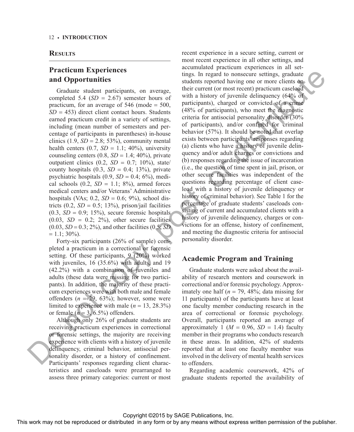#### **Results**

### **Practicum Experiences and Opportunities**

Graduate student participants, on average, completed 5.4 (*SD* = 2.67) semester hours of practicum, for an average of  $546$  (mode =  $500$ ,  $SD = 453$ ) direct client contact hours. Students earned practicum credit in a variety of settings, including (mean number of semesters and percentage of participants in parentheses) in-house clinics  $(1.9, SD = 2.8; 53%)$ , community mental health centers  $(0.7, SD = 1.1; 40\%)$ , university counseling centers  $(0.8, SD = 1.4; 40\%)$ , private outpatient clinics  $(0.2, SD = 0.7; 10\%)$ , state/ county hospitals  $(0.3, SD = 0.4; 13\%)$ , private psychiatric hospitals  $(0.9, SD = 0.4; 6\%)$ , medical schools  $(0.2, SD = 1.1; 8\%)$ , armed forces medical centers and/or Veterans' Administrative hospitals (VAs;  $0.2$ ,  $SD = 0.6$ ;  $9\%$ ), school districts  $(0.2, SD = 0.5; 13\%)$ , prison/jail facilities  $(0.3, SD = 0.9; 15\%)$ , secure forensic hospitals  $(0.03, SD = 0.2; 2\%)$ , other secure facilities  $(0.03, SD = 0.3; 2\%)$ , and other facilities  $(0.5; SD)$  $= 1.1$ ; 30%).

Forty-six participants (26% of sample) completed a practicum in a correctional or forensic setting. Of these participants, 9 (20%) worked with juveniles, 16 (35.6%) with adults, and 19 (42.2%) with a combination of juveniles and adults (these data were missing for two participants). In addition, the majority of these practicum experiences were with both male and female offenders  $(n = 29, 63\%)$ ; however, some were limited to experience with male  $(n = 13, 28.3\%)$ or female  $(n = 3, 6.5\%)$  offenders.

Although only 26% of graduate students are receiving practicum experiences in correctional or forensic settings, the majority are receiving experience with clients with a history of juvenile delinquency, criminal behavior, antisocial personality disorder, or a history of confinement. Participants' responses regarding client characteristics and caseloads were prearranged to assess three primary categories: current or most

recent experience in a secure setting, current or most recent experience in all other settings, and accumulated practicum experiences in all settings. In regard to nonsecure settings, graduate students reported having one or more clients on their current (or most recent) practicum caseload with a history of juvenile delinquency (64% of participants), charged or convicted of a crime (48% of participants), who meet the diagnostic criteria for antisocial personality disorder (30% of participants), and/or confined for criminal behavior (57%). It should be noted that overlap exists between participants' responses regarding (a) clients who have a history of juvenile delinquency and/or adult charges or convictions and (b) responses regarding the issue of incarceration (i.e., the question of time spent in jail, prison, or other secure facilities was independent of the questions regarding percentage of client caseload with a history of juvenile delinquency or history of criminal behavior). See Table 1 for the percentage of graduate students' caseloads consisting of current and accumulated clients with a history of juvenile delinquency, charges or convictions for an offense, history of confinement, and meeting the diagnostic criteria for antisocial personality disorder. **Principal Contents control is the reproduced or distributed in any form of the control or entrol or distributed in any form or by any means without express with the publisher. The means of the publisher or any means with** 

#### **Academic Program and Training**

Graduate students were asked about the availability of research mentors and coursework in correctional and/or forensic psychology. Approximately one half ( $n = 79, 48\%$ ; data missing for 11 participants) of the participants have at least one faculty member conducting research in the area of correctional or forensic psychology. Overall, participants reported an average of approximately 1 ( $M = 0.96$ ,  $SD = 1.4$ ) faculty member in their programs who conducts research in these areas. In addition, 42% of students reported that at least one faculty member was involved in the delivery of mental health services to offenders.

Regarding academic coursework, 42% of graduate students reported the availability of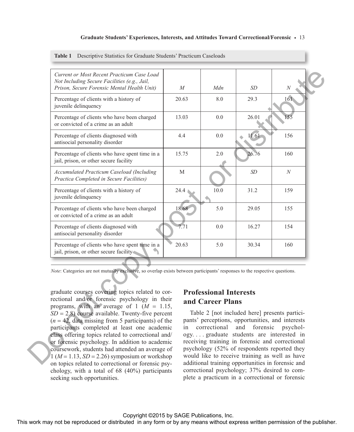#### **Graduate Students' Experiences, Interests, and Attitudes Toward Correctional/Forensic** • 13

| Not Including Secure Facilities (e.g., Jail,<br>Prison, Secure Forensic Mental Health Unit)                                                                                                                                                                                                                                                                                                                                                                                                                                                             | $\boldsymbol{M}$ | Mdn                                               | SD                                                                                                                                                                                                                                                                                   | $\boldsymbol{N}$ |
|---------------------------------------------------------------------------------------------------------------------------------------------------------------------------------------------------------------------------------------------------------------------------------------------------------------------------------------------------------------------------------------------------------------------------------------------------------------------------------------------------------------------------------------------------------|------------------|---------------------------------------------------|--------------------------------------------------------------------------------------------------------------------------------------------------------------------------------------------------------------------------------------------------------------------------------------|------------------|
| Percentage of clients with a history of<br>juvenile delinquency                                                                                                                                                                                                                                                                                                                                                                                                                                                                                         | 20.63            | 8.0                                               | 29.3                                                                                                                                                                                                                                                                                 | 161              |
| Percentage of clients who have been charged<br>or convicted of a crime as an adult                                                                                                                                                                                                                                                                                                                                                                                                                                                                      | 13.03            | 0.0                                               | 26.01                                                                                                                                                                                                                                                                                | 155              |
| Percentage of clients diagnosed with<br>antisocial personality disorder                                                                                                                                                                                                                                                                                                                                                                                                                                                                                 | 4.4              | 0.0                                               | 11.61                                                                                                                                                                                                                                                                                | 156              |
| Percentage of clients who have spent time in a<br>jail, prison, or other secure facility                                                                                                                                                                                                                                                                                                                                                                                                                                                                | 15.75            | $2.0\,$                                           | 26.76                                                                                                                                                                                                                                                                                | 160              |
| Accumulated Practicum Caseload (Including<br>Practica Completed in Secure Facilities)                                                                                                                                                                                                                                                                                                                                                                                                                                                                   | M                |                                                   | SD                                                                                                                                                                                                                                                                                   | N                |
| Percentage of clients with a history of<br>juvenile delinquency                                                                                                                                                                                                                                                                                                                                                                                                                                                                                         | 24.4             | 10.0                                              | 31.2                                                                                                                                                                                                                                                                                 | 159              |
| Percentage of clients who have been charged<br>or convicted of a crime as an adult                                                                                                                                                                                                                                                                                                                                                                                                                                                                      | 18.68            | 5.0                                               | 29.05                                                                                                                                                                                                                                                                                | 155              |
| Percentage of clients diagnosed with<br>antisocial personality disorder                                                                                                                                                                                                                                                                                                                                                                                                                                                                                 | 7.71             | 0.0                                               | 16.27                                                                                                                                                                                                                                                                                | 154              |
| Percentage of clients who have spent time in a<br>jail, prison, or other secure facility                                                                                                                                                                                                                                                                                                                                                                                                                                                                | 20.63            | 5.0                                               | 30.34                                                                                                                                                                                                                                                                                | 160              |
| Note: Categories are not mutually exclusive, so overlap exists between participants' responses to the respective questions.<br>graduate courses covering topics related to cor-<br>rectional and/or forensic psychology in their<br>programs, with an average of $1 \ (M = 1.15,$<br>$SD = 2.8$ ) course available. Twenty-five percent<br>$(n = 42, data missing from 5 participants)$ of the<br>participants completed at least one academic<br>class offering topics related to correctional and/<br>or forensic psychology. In addition to academic | in               | <b>Professional Interests</b><br>and Career Plans | Table 2 [not included here] presents partici-<br>pants' perceptions, opportunities, and interests<br>correctional and forensic psychol-<br>ogygraduate students are interested in<br>receiving training in forensic and correctional<br>psychology (52% of respondents reported they |                  |

**Table 1** Descriptive Statistics for Graduate Students' Practicum Caseloads

# **Professional Interests and Career Plans**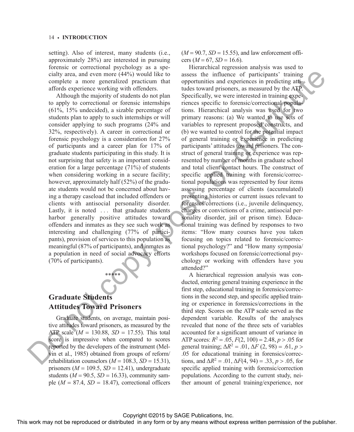setting). Also of interest, many students (i.e., approximately 28%) are interested in pursuing forensic or correctional psychology as a specialty area, and even more (44%) would like to complete a more generalized practicum that affords experience working with offenders.

Although the majority of students do not plan to apply to correctional or forensic internships (61%, 15% undecided), a sizable percentage of students plan to apply to such internships or will consider applying to such programs (24% and 32%, respectively). A career in correctional or forensic psychology is a consideration for 27% of participants and a career plan for 17% of graduate students participating in this study. It is not surprising that safety is an important consideration for a large percentage (71%) of students when considering working in a secure facility; however, approximately half (52%) of the graduate students would not be concerned about having a therapy caseload that included offenders or clients with antisocial personality disorder. Lastly, it is noted  $\dots$  that graduate students harbor generally positive attitudes toward offenders and inmates as they see such work as interesting and challenging (77% of participants), provision of services to this population as meaningful (87% of participants), and inmates as a population in need of social advocacy efforts (70% of participants).

# **Graduate Students Attitudes Toward Prisoners**

Graduate students, on average, maintain positive attitudes toward prisoners, as measured by the ATP scale (*M* = 130.88, *SD* = 17.55). This total score is impressive when compared to scores reported by the developers of the instrument (Melvin et al., 1985) obtained from groups of reform/ rehabilitation counselors ( $M = 108.3$ ,  $SD = 15.31$ ), prisoners ( $M = 109.5$ ,  $SD = 12.41$ ), undergraduate students ( $M = 90.5$ ,  $SD = 16.33$ ), community sample  $(M = 87.4, SD = 18.47)$ , correctional officers

\*\*\*\*\*

 $(M = 90.7, SD = 15.55)$ , and law enforcement officers  $(M = 67, SD = 16.6)$ .

Hierarchical regression analysis was used to assess the influence of participants' training opportunities and experiences in predicting attitudes toward prisoners, as measured by the ATP. Specifically, we were interested in training experiences specific to forensic/correctional populations. Hierarchical analysis was used for two primary reasons: (a) We wanted to use sets of variables to represent proposed constructs, and (b) we wanted to control for the potential impact of general training or experience in predicting participants' attitudes toward prisoners. The construct of general training or experience was represented by number of months in graduate school and total client contact hours. The construct of specific applied training with forensic/correctional populations was represented by four items assessing percentage of clients (accumulated) presenting histories or current issues relevant to forensics/corrections (i.e., juvenile delinquency, charges or convictions of a crime, antisocial personality disorder, jail or prison time). Educational training was defined by responses to two items: "How many courses have you taken focusing on topics related to forensic/correctional psychology?" and "How many symposia/ workshops focused on forensic/correctional psychology or working with offenders have you attended?" clear or expression with the repression of the repression of publishers of the reproduced or the reproduced or the publishers with the repression of the publishers with the repression of the publishers with a sphere with

A hierarchical regression analysis was conducted, entering general training experience in the first step, educational training in forensics/corrections in the second step, and specific applied training or experience in forensics/corrections in the third step. Scores on the ATP scale served as the dependent variable. Results of the analyses revealed that none of the three sets of variables accounted for a significant amount of variance in ATP scores:  $R^2 = .05$ ,  $F(2, 100) = 2.48$ ,  $p > .05$  for general training;  $\Delta R^2 = .01$ ,  $\Delta F (2, 98) = .61$ ,  $p >$ .05 for educational training in forensics/corrections, and  $\Delta R^2 = .01$ ,  $\Delta F(4, 94) = .33$ ,  $p > .05$ , for specific applied training with forensic/correction populations. According to the current study, neither amount of general training/experience, nor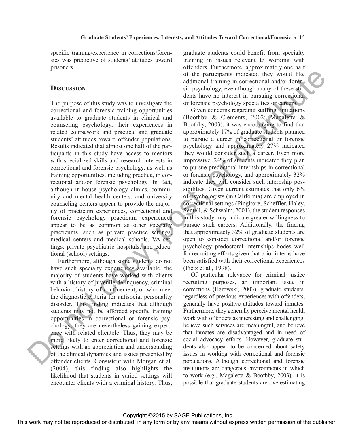#### **Graduate Students' Experiences, Interests, and Attitudes Toward Correctional/Forensic** • 15

specific training/experience in corrections/forensics was predictive of students' attitudes toward prisoners.

#### **Discussion**

The purpose of this study was to investigate the correctional and forensic training opportunities available to graduate students in clinical and counseling psychology, their experiences in related coursework and practica, and graduate students' attitudes toward offender populations. Results indicated that almost one half of the participants in this study have access to mentors with specialized skills and research interests in correctional and forensic psychology, as well as training opportunities, including practica, in correctional and/or forensic psychology. In fact, although in-house psychology clinics, community and mental health centers, and university counseling centers appear to provide the majority of practicum experiences, correctional and forensic psychology practicum experiences appear to be as common as other specialty practicums, such as private practice settings, medical centers and medical schools, VA settings, private psychiatric hospitals, and educational (school) settings.

Furthermore, although some students do not have such specialty experiences available, the majority of students have worked with clients with a history of juvenile delinquency, criminal behavior, history of confinement, or who meet the diagnostic criteria for antisocial personality disorder. This finding indicates that although students may not be afforded specific training opportunities in correctional or forensic psychology, they are nevertheless gaining experience with related clientele. Thus, they may be more likely to enter correctional and forensic settings with an appreciation and understanding of the clinical dynamics and issues presented by offender clients. Consistent with Morgan et al. (2004), this finding also highlights the likelihood that students in varied settings will encounter clients with a criminal history. Thus,

graduate students could benefit from specialty training in issues relevant to working with offenders. Furthermore, approximately one half of the participants indicated they would like additional training in correctional and/or forensic psychology, even though many of these students have no interest in pursuing correctional or forensic psychology specialties or careers.

Given concerns regarding staffing limitations (Boothby & Clements, 2002; Magaletta & Boothby, 2003), it was encouraging to find that approximately 17% of graduate students planned to pursue a career in correctional or forensic psychology and approximately 27% indicated they would consider such a career. Even more impressive, 24% of students indicated they plan to pursue predoctoral internships in correctional or forensic psychology, and approximately 32% indicate they will consider such internship possibilities. Given current estimates that only 6% of psychologists (in California) are employed in correctional settings (Pingitore, Scheffler, Haley, Sentell, & Schwalm, 2001), the student responses in this study may indicate greater willingness to pursue such careers. Additionally, the finding that approximately 32% of graduate students are open to consider correctional and/or forensic psychology predoctoral internships bodes well for recruiting efforts given that prior interns have been satisfied with their correctional experiences (Pietz et al., 1998). **DISCUSSION** of the publisher indictries of the proposition indicent indicent constrained the reproduced or the publisher constrained in any form or by any form or by any means when the representation of the publisher. A

Of particular relevance for criminal justice recruiting purposes, an important issue in corrections (Harowski, 2003), graduate students, regardless of previous experiences with offenders, generally have positive attitudes toward inmates. Furthermore, they generally perceive mental health work with offenders as interesting and challenging, believe such services are meaningful, and believe that inmates are disadvantaged and in need of social advocacy efforts. However, graduate students also appear to be concerned about safety issues in working with correctional and forensic populations. Although correctional and forensic institutions are dangerous environments in which to work (e.g., Magaletta & Boothby, 2003), it is possible that graduate students are overestimating

Copyright ©2015 by SAGE Publications, Inc.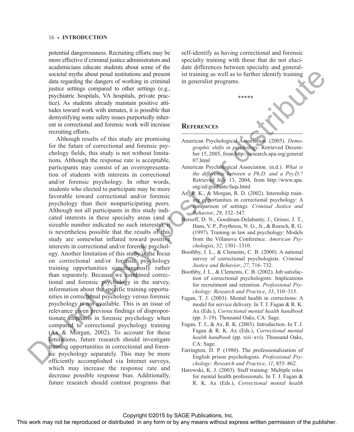#### 16 • **INTRODUCTION**

potential dangerousness. Recruiting efforts may be more effective if criminal justice administrators and academicians educate students about some of the societal myths about penal institutions and present data regarding the dangers of working in criminal justice settings compared to other settings (e.g., psychiatric hospitals, VA hospitals, private practice). As students already maintain positive attitudes toward work with inmates, it is possible that demystifying some safety issues purportedly inherent in correctional and forensic work will increase recruiting efforts.

Although results of this study are promising for the future of correctional and forensic psychology fields, this study is not without limitations. Although the response rate is acceptable, participants may consist of an overrepresentation of students with interests in correctional and/or forensic psychology. In other words, students who elected to participate may be more favorable toward correctional and/or forensic psychology than their nonparticipating peers. Although not all participants in this study indicated interests in these specialty areas (and a sizeable number indicated no such interests), it is nevertheless possible that the results of this study are somewhat inflated toward positive interests in correctional and/or forensic psychology. Another limitation of this study is the focus on correctional and/or forensic psychology training opportunities simultaneously rather than separately. Because we combined correctional and forensic psychology in the survey, information about the specific training opportunities in correctional psychology versus forensic psychology is not available. This is an issue of relevance given previous findings of disproportionate emphasis in forensic psychology when compared to correctional psychology training (Ax & Morgan, 2002). To account for these limitations, future research should investigate training opportunities in correctional and forensic psychology separately. This may be more efficiently accomplished via Internet surveys, which may increase the response rate and decrease possible response bias. Additionally, future research should contrast programs that society and the repression of the representation of the representation of the representation or distributed in any form or by any means with the publisher. The publisher and the publisher of the publisher of the publisher

self-identify as having correctional and forensic specialty training with those that do not elucidate differences between specialty and generalist training as well as to further identify training in generalist programs.

\*\*\*\*\*

#### **References**

- American Psychological Association. (2005). *Demographic shifts in psychology*. Retrieved December 15, 2005, from http://research.apa.org/general 07.html
- American Psychological Association. (n.d.). *What is the difference between a Ph.D. and a Psy.D.?*  Retrieved July 13, 2004, from http://www.apa. org/ed/graduate/faqs.html
- Ax, R. K., & Morgan, R. D. (2002). Internship training opportunities in correctional psychology: A comparison of settings. *Criminal Justice and Behavior*, *29*, 332–347.
- Bersoff, D. N., Goodman-Delahunty, J., Grisso, J. T., Hans, V. P., Poythress, N. G., Jr., & Roesch, R. G. (1997). Training in law and psychology: Models from the Villanova Conference. *American Psychologist*, *52*, 1301–1310.
- Boothby, J. L., & Clements, C. B. (2000). A national survey of correctional psychologists. *Criminal Justice and Behavior*, *27*, 716–732.
- Boothby, J. L., & Clements, C. B. (2002). Job satisfaction of correctional psychologists: Implications for recruitment and retention. *Professional Psychology: Research and Practice*, *33*, 310–315.
- Fagan, T. J. (2003). Mental health in corrections: A model for service delivery. In T. J. Fagan & R. K. Ax (Eds.), *Correctional mental health handbook*  (pp. 3–19). Thousand Oaks, CA: Sage.
- Fagan, T. J., & Ax, R. K. (2003). Introduction. In T. J. Fagan & R. K. Ax (Eds.), *Correctional mental health handbook* (pp. xiii–xvi). Thousand Oaks, CA: Sage.
- Farrington, D. P. (1980). The professionalization of English prison psychologists. *Professional Psychology: Research and Practice*, *11*, 855–862.
- Harowski, K. J. (2003). Staff training: Multiple roles for mental health professionals. In T. J. Fagan & R. K. Ax (Eds.), *Correctional mental health*